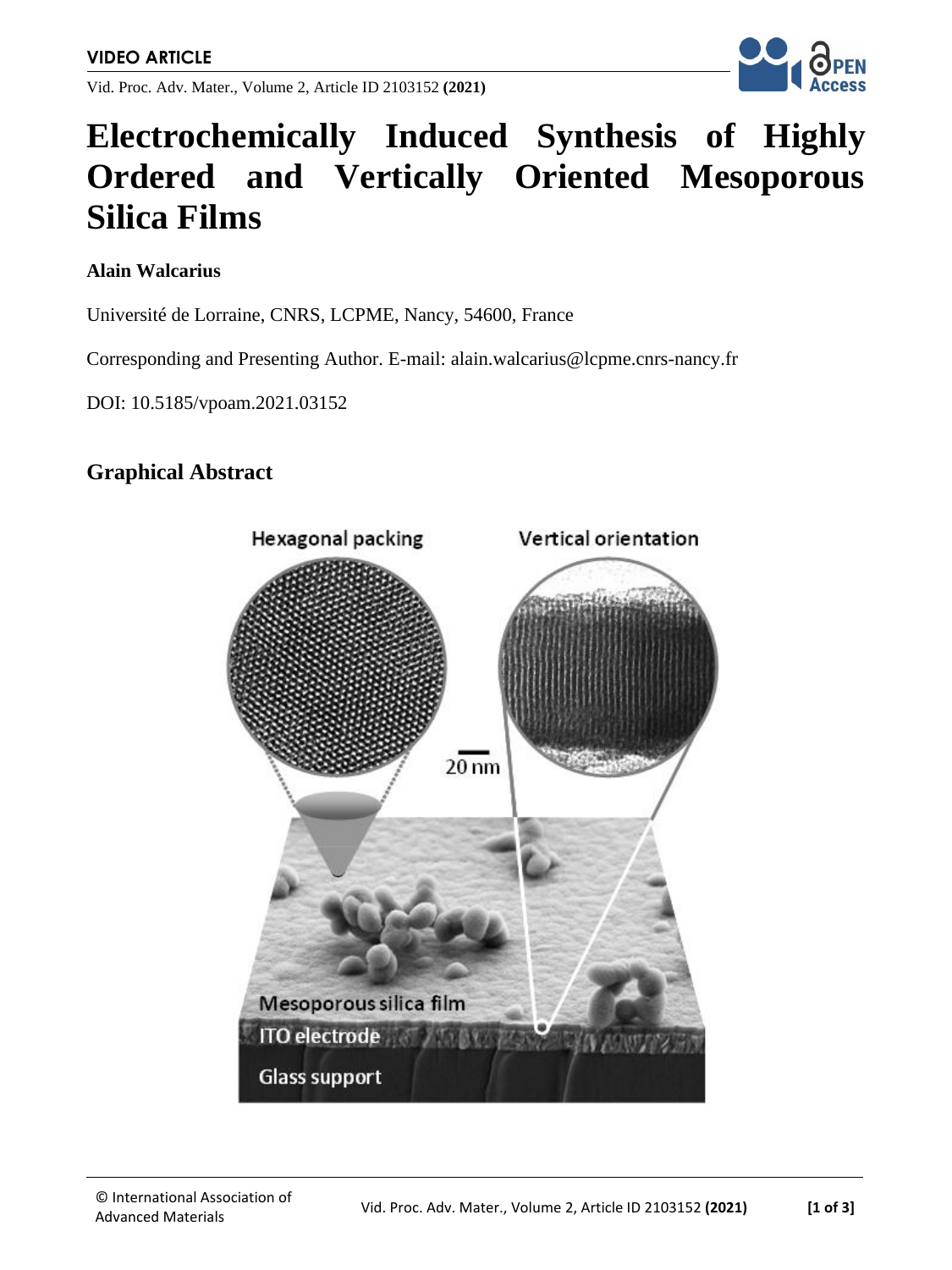Vid. Proc. Adv. Mater., Volume 2, Article ID 2103152 **(2021)**



# **Electrochemically Induced Synthesis of Highly Ordered and Vertically Oriented Mesoporous Silica Films**

#### **Alain Walcarius**

Université de Lorraine, CNRS, LCPME, Nancy, 54600, France

Corresponding and Presenting Author. E-mail: alain.walcarius@lcpme.cnrs-nancy.fr

DOI: 10.5185/vpoam.2021.03152

#### **Graphical Abstract**

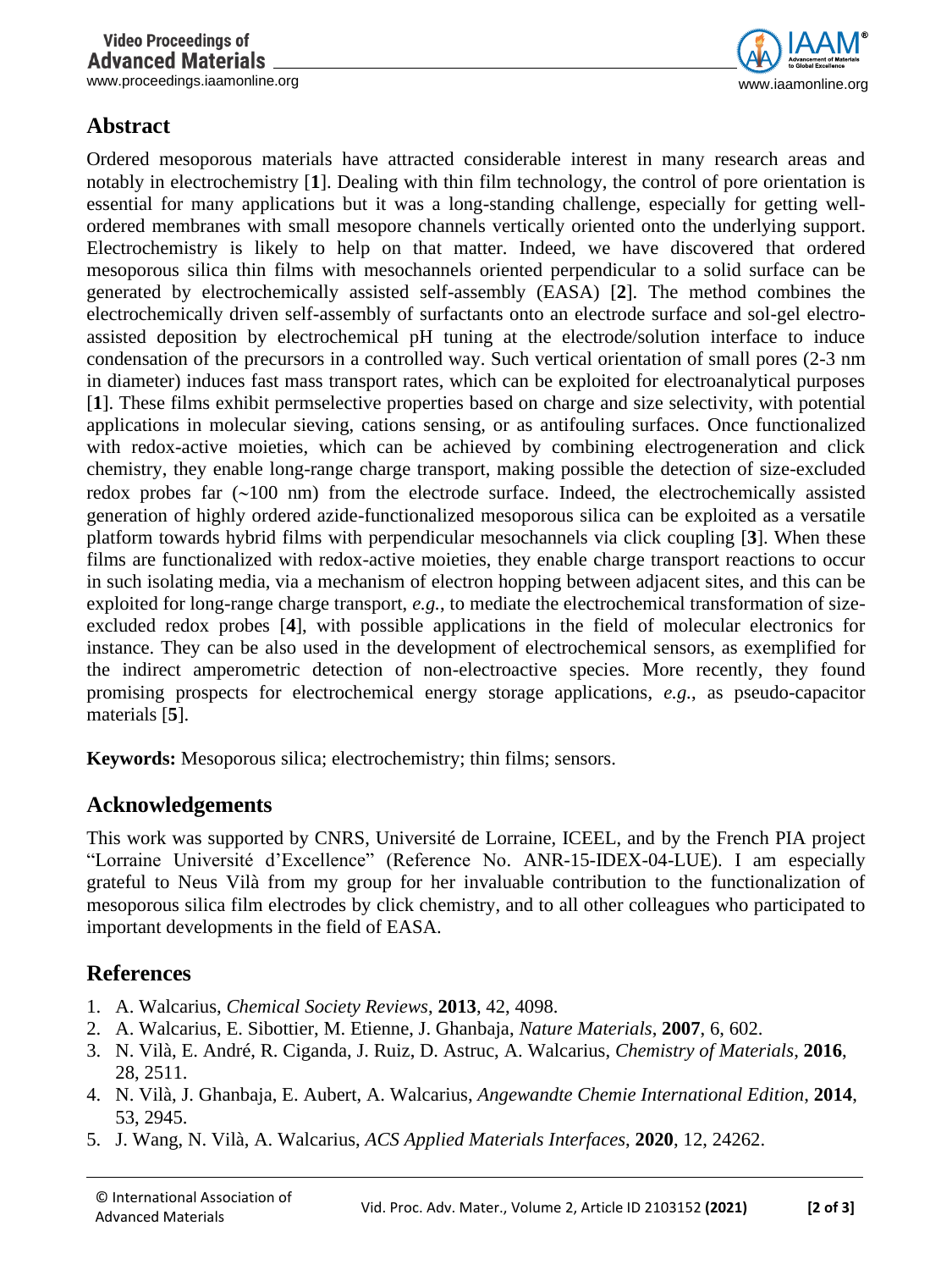www.proceedings.iaamonline.org example of the state of the state of the www.iaamonline.org

## **Abstract**

Ordered mesoporous materials have attracted considerable interest in many research areas and notably in electrochemistry [**1**]. Dealing with thin film technology, the control of pore orientation is essential for many applications but it was a long-standing challenge, especially for getting wellordered membranes with small mesopore channels vertically oriented onto the underlying support. Electrochemistry is likely to help on that matter. Indeed, we have discovered that ordered mesoporous silica thin films with mesochannels oriented perpendicular to a solid surface can be generated by electrochemically assisted self-assembly (EASA) [**2**]. The method combines the electrochemically driven self-assembly of surfactants onto an electrode surface and sol-gel electroassisted deposition by electrochemical pH tuning at the electrode/solution interface to induce condensation of the precursors in a controlled way. Such vertical orientation of small pores (2-3 nm in diameter) induces fast mass transport rates, which can be exploited for electroanalytical purposes [**1**]. These films exhibit permselective properties based on charge and size selectivity, with potential applications in molecular sieving, cations sensing, or as antifouling surfaces. Once functionalized with redox-active moieties, which can be achieved by combining electrogeneration and click chemistry, they enable long-range charge transport, making possible the detection of size-excluded redox probes far  $(\sim 100 \text{ nm})$  from the electrode surface. Indeed, the electrochemically assisted generation of highly ordered azide-functionalized mesoporous silica can be exploited as a versatile platform towards hybrid films with perpendicular mesochannels via click coupling [**3**]. When these films are functionalized with redox-active moieties, they enable charge transport reactions to occur in such isolating media, via a mechanism of electron hopping between adjacent sites, and this can be exploited for long-range charge transport, *e.g.*, to mediate the electrochemical transformation of sizeexcluded redox probes [**4**], with possible applications in the field of molecular electronics for instance. They can be also used in the development of electrochemical sensors, as exemplified for the indirect amperometric detection of non-electroactive species. More recently, they found promising prospects for electrochemical energy storage applications, *e.g.*, as pseudo-capacitor materials [**5**].

**Keywords:** Mesoporous silica; electrochemistry; thin films; sensors.

#### **Acknowledgements**

This work was supported by CNRS, Université de Lorraine, ICEEL, and by the French PIA project "Lorraine Université d'Excellence" (Reference No. ANR-15-IDEX-04-LUE). I am especially grateful to Neus Vilà from my group for her invaluable contribution to the functionalization of mesoporous silica film electrodes by click chemistry, and to all other colleagues who participated to important developments in the field of EASA.

### **References**

- 1. A. Walcarius, *Chemical Society Reviews*, **2013**, 42, 4098.
- 2. A. Walcarius, E. Sibottier, M. Etienne, J. Ghanbaja, *Nature Materials*, **2007**, 6, 602.
- 3. N. Vilà, E. André, R. Ciganda, J. Ruiz, D. Astruc, A. Walcarius, *Chemistry of Materials*, **2016**, 28, 2511.
- 4. N. Vilà, J. Ghanbaja, E. Aubert, A. Walcarius, *Angewandte Chemie International Edition*, **2014**, 53, 2945.
- 5. J. Wang, N. Vilà, A. Walcarius, *ACS Applied Materials Interfaces*, **2020**, 12, 24262.